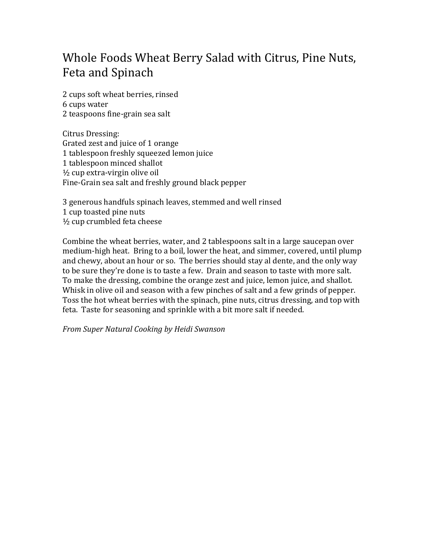## Whole Foods Wheat Berry Salad with Citrus, Pine Nuts, Feta and Spinach

2 cups soft wheat berries, rinsed 6 cups water 2 teaspoons fine‐grain sea salt

Citrus Dressing: Grated zest and juice of 1 orange 1 tablespoon freshly squeezed lemon juice 1 tablespoon minced shallot ½ cup extra‐virgin olive oil Fine‐Grain sea salt and freshly ground black pepper

3 generous handfuls spinach leaves, stemmed and well rinsed 1 cup toasted pine nuts ½ cup crumbled feta cheese

Combine the wheat berries, water, and 2 tablespoons salt in a large saucepan over medium‐high heat. Bring to a boil, lower the heat, and simmer, covered, until plump and chewy, about an hour or so. The berries should stay al dente, and the only way to be sure they're done is to taste a few. Drain and season to taste with more salt. To make the dressing, combine the orange zest and juice, lemon juice, and shallot. Whisk in olive oil and season with a few pinches of salt and a few grinds of pepper. Toss the hot wheat berries with the spinach, pine nuts, citrus dressing, and top with feta. Taste for seasoning and sprinkle with a bit more salt if needed.

*From Super Natural Cooking by Heidi Swanson*